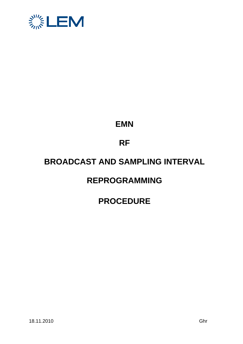

## **EMN**

# **RF**

## **BROADCAST AND SAMPLING INTERVAL**

### **REPROGRAMMING**

### **PROCEDURE**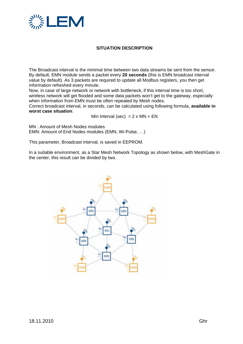

### **SITUATION DESCRIPTION**

The Broadcast interval is the minimal time between two data streams be sent from the sensor. By default, EMN module sends a packet every **20 seconds** (this is EMN broadcast interval value by default). As 3 packets are required to update all Modbus registers, you then get information refreshed every minute.

Now, in case of large network or network with bottleneck, if this interval time is too short, wireless network will get flooded and some data packets won't get to the gateway, especially when information from EMN must be often repeated by Mesh nodes.

Correct broadcast interval, in seconds, can be calculated using following formula, **available in worst case situation**:

Min Interval (sec) =  $2 \times MN + EN$ 

MN : Amount of Mesh Nodes modules EMN: Amount of End Nodes modules (EMN, Wi-Pulse, …)

This parameter, Broadcast interval, is saved in EEPROM.

In a suitable environment, as a Star Mesh Network Topology as shown below, with MeshGate in the center, this result can be divided by two.

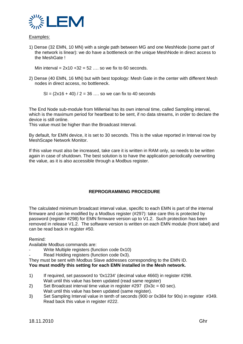

#### Examples:

1) Dense (32 EMN, 10 MN) with a single path between MG and one MeshNode (some part of the network is linear): we do have a bottleneck on the unique MeshNode in direct access to the MeshGate !

Min interval =  $2x10 + 32 = 52$  ... so we fix to 60 seconds.

2) Dense (40 EMN, 16 MN) but with best topology: Mesh Gate in the center with different Mesh nodes in direct access, no bottleneck.

 $SI = (2x16 + 40) / 2 = 36$  ... so we can fix to 40 seconds

The End Node sub-module from Millenial has its own interval time, called Sampling interval, which is the maximum period for heartbeat to be sent, if no data streams, in order to declare the device is still online.

This value must be higher than the Broadcast Interval.

By default, for EMN device, it is set to 30 seconds. This is the value reported in Interval row by MeshScape Network Monitor.

If this value must also be increased, take care it is written in RAM only, so needs to be written again in case of shutdown. The best solution is to have the application periodically overwriting the value, as it is also accessible through a Modbus register.

#### **REPROGRAMMING PROCEDURE**

The calculated minimum broadcast interval value, specific to each EMN is part of the internal firmware and can be modified by a Modbus register (#297): take care this is protected by password (register #298) for EMN firmware version up to V1.2. Such protection has been removed in release V1.2. The software version is written on each EMN module (front label) and can be read back in register #50.

Remind:

Available Modbus commands are:

- Write Multiple registers (function code 0x10)
- Read Holding registers (function code 0x3).

They must be sent with Modbus Slave addresses corresponding to the EMN ID. **You must modify this setting for each EMN installed in the Mesh network.** 

- 1) If required, set password to '0x1234' (decimal value 4660) in register #298. Wait until this value has been updated (read same register)
- 2) Set Broadcast interval time value in register  $\#297$  (0x3c = 60 sec). Wait until this value has been updated (same register).
- 3) Set Sampling Interval value in tenth of seconds (900 or 0x384 for 90s) in register #349. Read back this value in register #222.